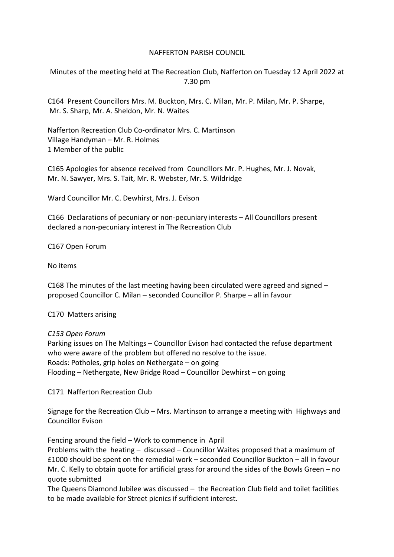## NAFFERTON PARISH COUNCIL

Minutes of the meeting held at The Recreation Club, Nafferton on Tuesday 12 April 2022 at 7.30 pm

C164 Present Councillors Mrs. M. Buckton, Mrs. C. Milan, Mr. P. Milan, Mr. P. Sharpe, Mr. S. Sharp, Mr. A. Sheldon, Mr. N. Waites

Nafferton Recreation Club Co-ordinator Mrs. C. Martinson Village Handyman – Mr. R. Holmes 1 Member of the public

C165 Apologies for absence received from Councillors Mr. P. Hughes, Mr. J. Novak, Mr. N. Sawyer, Mrs. S. Tait, Mr. R. Webster, Mr. S. Wildridge

Ward Councillor Mr. C. Dewhirst, Mrs. J. Evison

C166 Declarations of pecuniary or non-pecuniary interests – All Councillors present declared a non-pecuniary interest in The Recreation Club

C167 Open Forum

No items

C168 The minutes of the last meeting having been circulated were agreed and signed – proposed Councillor C. Milan – seconded Councillor P. Sharpe – all in favour

C170 Matters arising

*C153 Open Forum* 

Parking issues on The Maltings – Councillor Evison had contacted the refuse department who were aware of the problem but offered no resolve to the issue. Roads: Potholes, grip holes on Nethergate – on going Flooding – Nethergate, New Bridge Road – Councillor Dewhirst – on going

C171 Nafferton Recreation Club

Signage for the Recreation Club – Mrs. Martinson to arrange a meeting with Highways and Councillor Evison

Fencing around the field – Work to commence in April

Problems with the heating – discussed – Councillor Waites proposed that a maximum of £1000 should be spent on the remedial work – seconded Councillor Buckton – all in favour Mr. C. Kelly to obtain quote for artificial grass for around the sides of the Bowls Green – no quote submitted

The Queens Diamond Jubilee was discussed – the Recreation Club field and toilet facilities to be made available for Street picnics if sufficient interest.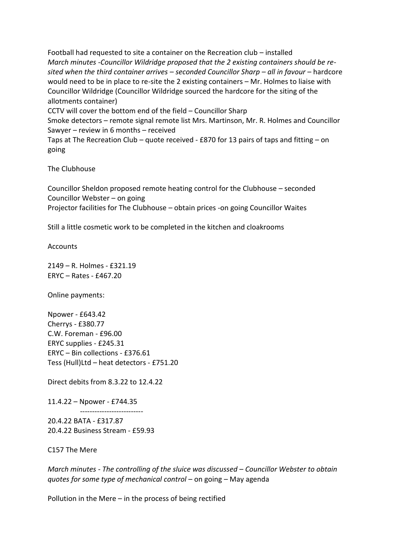Football had requested to site a container on the Recreation club – installed *March minutes -Councillor Wildridge proposed that the 2 existing containers should be resited when the third container arrives – seconded Councillor Sharp – all in favour* – hardcore would need to be in place to re-site the 2 existing containers – Mr. Holmes to liaise with Councillor Wildridge (Councillor Wildridge sourced the hardcore for the siting of the allotments container) CCTV will cover the bottom end of the field – Councillor Sharp Smoke detectors – remote signal remote list Mrs. Martinson, Mr. R. Holmes and Councillor Sawyer – review in 6 months – received Taps at The Recreation Club – quote received - £870 for 13 pairs of taps and fitting – on going

The Clubhouse

Councillor Sheldon proposed remote heating control for the Clubhouse – seconded Councillor Webster – on going Projector facilities for The Clubhouse – obtain prices -on going Councillor Waites

Still a little cosmetic work to be completed in the kitchen and cloakrooms

**Accounts** 

2149 – R. Holmes - £321.19 ERYC – Rates - £467.20

Online payments:

Npower - £643.42 Cherrys - £380.77 C.W. Foreman - £96.00 ERYC supplies - £245.31 ERYC – Bin collections - £376.61 Tess (Hull)Ltd – heat detectors - £751.20

Direct debits from 8.3.22 to 12.4.22

--------------------------

11.4.22 – Npower - £744.35

20.4.22 BATA - £317.87 20.4.22 Business Stream - £59.93

C157 The Mere

*March minutes - The controlling of the sluice was discussed – Councillor Webster to obtain quotes for some type of mechanical control* – on going – May agenda

Pollution in the Mere – in the process of being rectified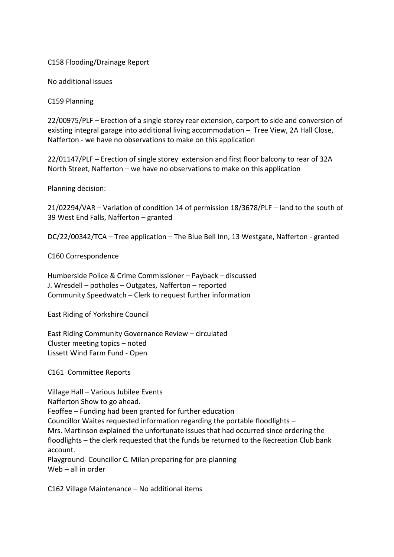C158 Flooding/Drainage Report

No additional issues

C159 Planning

22/00975/PLF – Erection of a single storey rear extension, carport to side and conversion of existing integral garage into additional living accommodation – Tree View, 2A Hall Close, Nafferton - we have no observations to make on this application

22/01147/PLF – Erection of single storey extension and first floor balcony to rear of 32A North Street, Nafferton – we have no observations to make on this application

Planning decision:

21/02294/VAR – Variation of condition 14 of permission 18/3678/PLF – land to the south of 39 West End Falls, Nafferton – granted

DC/22/00342/TCA – Tree application – The Blue Bell Inn, 13 Westgate, Nafferton - granted

C160 Correspondence

Humberside Police & Crime Commissioner – Payback – discussed J. Wresdell – potholes – Outgates, Nafferton – reported Community Speedwatch – Clerk to request further information

East Riding of Yorkshire Council

East Riding Community Governance Review – circulated Cluster meeting topics – noted Lissett Wind Farm Fund - Open

C161 Committee Reports

Village Hall – Various Jubilee Events Nafferton Show to go ahead. Feoffee – Funding had been granted for further education Councillor Waites requested information regarding the portable floodlights – Mrs. Martinson explained the unfortunate issues that had occurred since ordering the floodlights – the clerk requested that the funds be returned to the Recreation Club bank account. Playground- Councillor C. Milan preparing for pre-planning Web – all in order

C162 Village Maintenance – No additional items